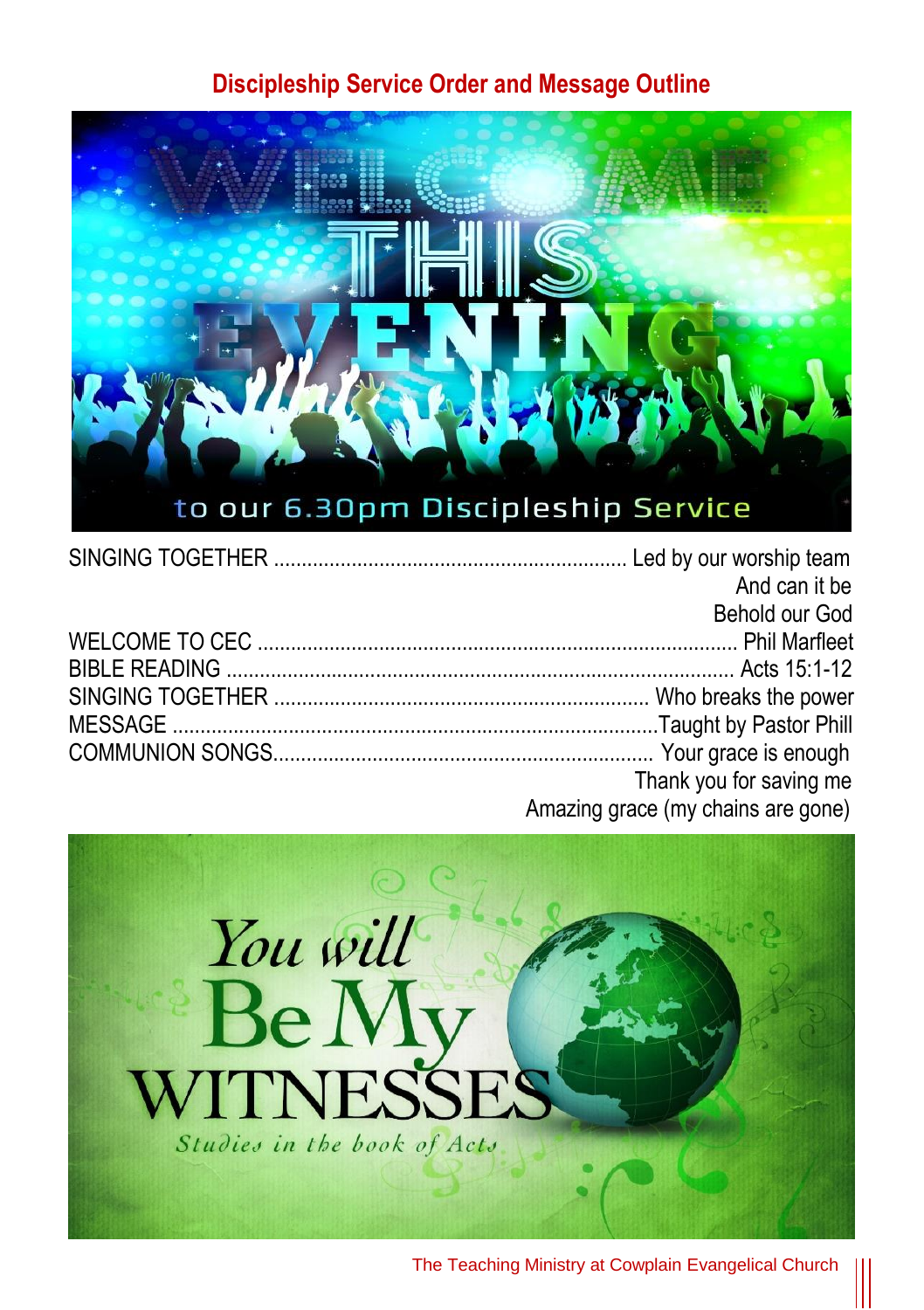## **Discipleship Service Order and Message Outline**



| And can it be                      |
|------------------------------------|
| Behold our God                     |
|                                    |
|                                    |
|                                    |
|                                    |
|                                    |
| Thank you for saving me            |
| Amazing grace (my chains are gone) |



The Teaching Ministry at Cowplain Evangelical Church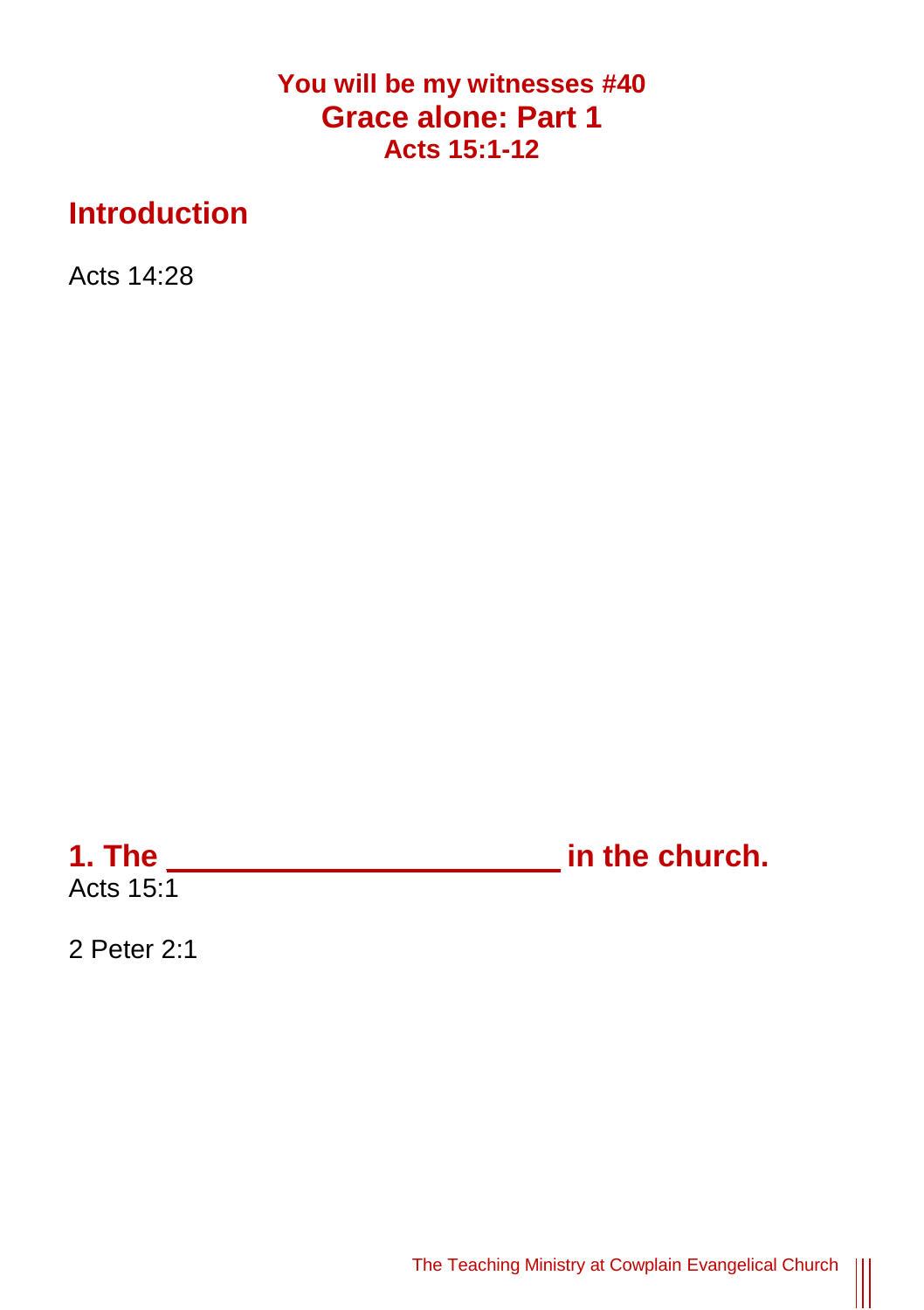## **You will be my witnesses #40 Grace alone: Part 1 Acts 15:1-12**

## **Introduction**

Acts 14:28

**1. The \_\_\_\_\_\_\_\_\_\_\_\_\_\_\_\_\_\_\_\_\_\_\_ in the church.** Acts  $15:1$ 

2 Peter 2:1

The Teaching Ministry at Cowplain Evangelical Church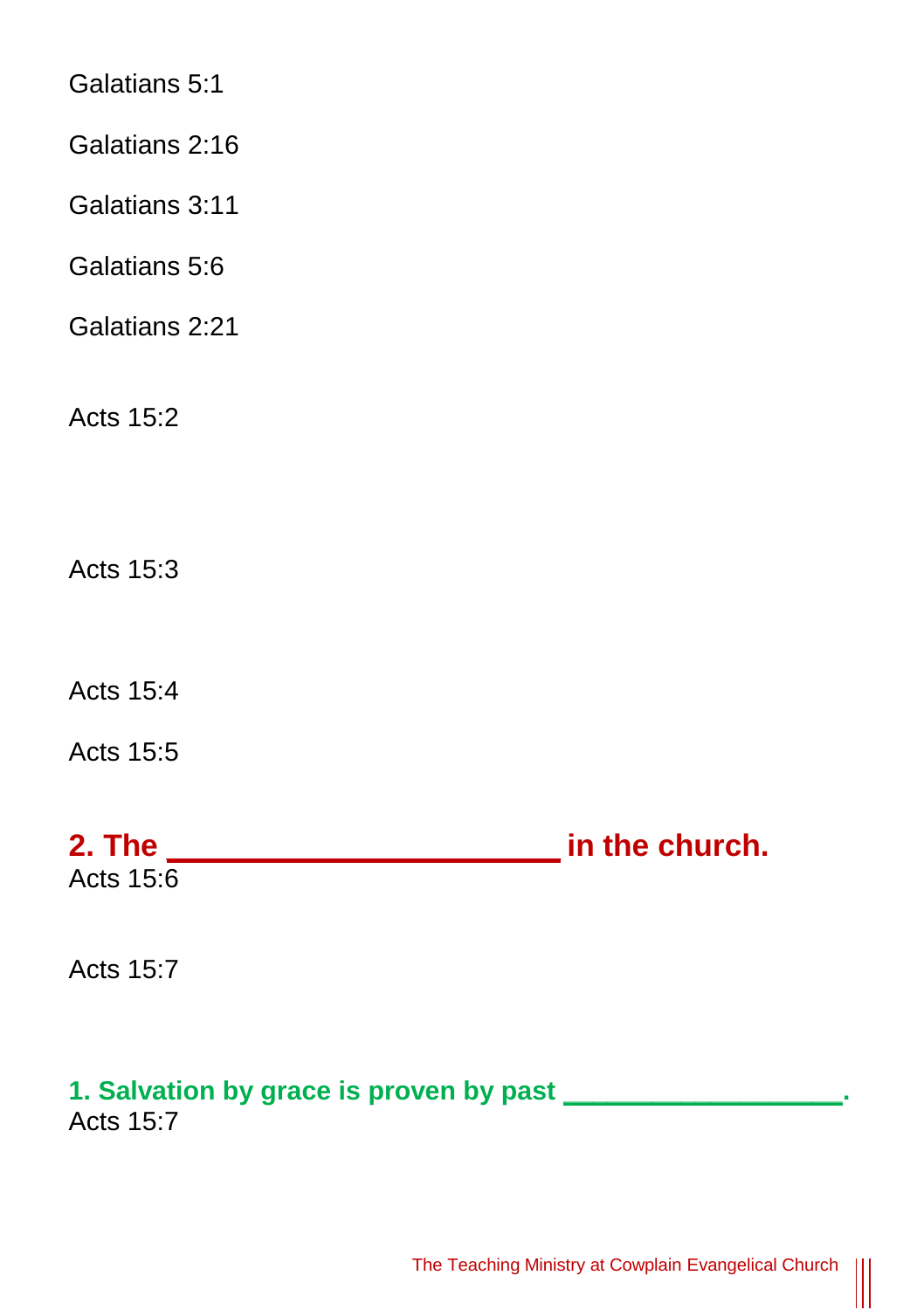Galatians 5:1

Galatians 2:16

Galatians 3:11

Galatians 5:6

Galatians 2:21

Acts 15:2

Acts 15:3

Acts 15:4

Acts 15:5

**2. The \_\_\_\_\_\_\_\_\_\_\_\_\_\_\_\_\_\_\_\_\_\_\_ in the church.** Acts 15:6

Acts 15:7

## **1. Salvation by grace is proven by past \_\_\_\_\_\_\_\_\_\_\_\_\_\_\_\_\_\_\_.**

Acts 15:7